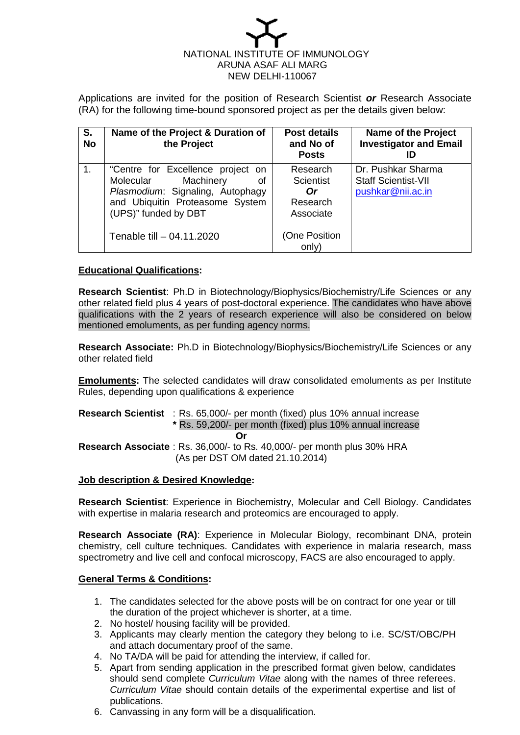

Applications are invited for the position of Research Scientist *or* Research Associate (RA) for the following time-bound sponsored project as per the details given below:

| S.<br><b>No</b> | Name of the Project & Duration of<br>the Project                                                                                                                                              | <b>Post details</b><br>and No of<br><b>Posts</b>                                      | <b>Name of the Project</b><br><b>Investigator and Email</b>           |
|-----------------|-----------------------------------------------------------------------------------------------------------------------------------------------------------------------------------------------|---------------------------------------------------------------------------------------|-----------------------------------------------------------------------|
| $\mathbf 1$ .   | "Centre for Excellence project on<br>Machinery<br>Molecular<br>οf<br>Plasmodium: Signaling, Autophagy<br>and Ubiquitin Proteasome System<br>(UPS)" funded by DBT<br>Tenable till - 04.11.2020 | Research<br><b>Scientist</b><br>Or<br>Research<br>Associate<br>(One Position<br>only) | Dr. Pushkar Sharma<br><b>Staff Scientist-VII</b><br>pushkar@nii.ac.in |

## **Educational Qualifications:**

**Research Scientist**: Ph.D in Biotechnology/Biophysics/Biochemistry/Life Sciences or any other related field plus 4 years of post-doctoral experience. The candidates who have above qualifications with the 2 years of research experience will also be considered on below mentioned emoluments, as per funding agency norms.

**Research Associate:** Ph.D in Biotechnology/Biophysics/Biochemistry/Life Sciences or any other related field

**Emoluments:** The selected candidates will draw consolidated emoluments as per Institute Rules, depending upon qualifications & experience

### **Research Scientist** : Rs. 65,000/- per month (fixed) plus 10% annual increase **\*** Rs. 59,200/- per month (fixed) plus 10% annual increase **Or Research Associate** : Rs. 36,000/- to Rs. 40,000/- per month plus 30% HRA (As per DST OM dated 21.10.2014)

### **Job description & Desired Knowledge:**

**Research Scientist**: Experience in Biochemistry, Molecular and Cell Biology. Candidates with expertise in malaria research and proteomics are encouraged to apply.

**Research Associate (RA)**: Experience in Molecular Biology, recombinant DNA, protein chemistry, cell culture techniques. Candidates with experience in malaria research, mass spectrometry and live cell and confocal microscopy, FACS are also encouraged to apply.

### **General Terms & Conditions:**

- 1. The candidates selected for the above posts will be on contract for one year or till the duration of the project whichever is shorter, at a time.
- 2. No hostel/ housing facility will be provided.
- 3. Applicants may clearly mention the category they belong to i.e. SC/ST/OBC/PH and attach documentary proof of the same.
- 4. No TA/DA will be paid for attending the interview, if called for.
- 5. Apart from sending application in the prescribed format given below, candidates should send complete *Curriculum Vitae* along with the names of three referees. *Curriculum Vitae* should contain details of the experimental expertise and list of publications.
- 6. Canvassing in any form will be a disqualification.